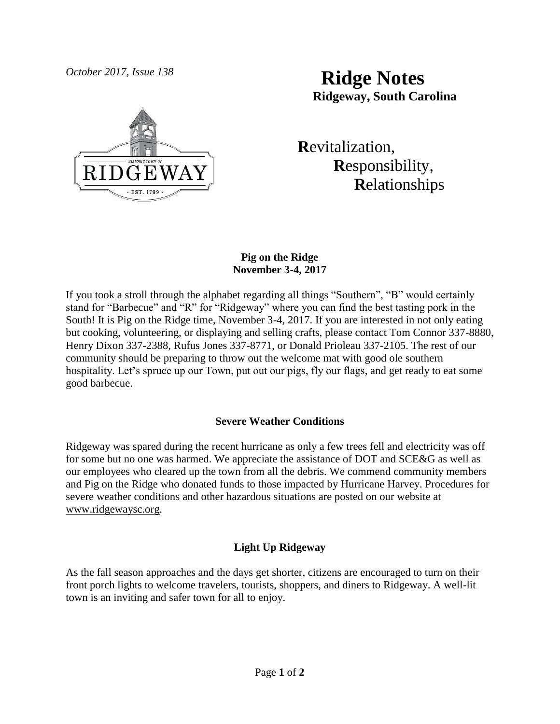

*October 2017, Issue 138* **Ridge Notes Ridgeway, South Carolina**

> **R**evitalization,  **R**esponsibility,  **R**elationships

# **Pig on the Ridge November 3-4, 2017**

If you took a stroll through the alphabet regarding all things "Southern", "B" would certainly stand for "Barbecue" and "R" for "Ridgeway" where you can find the best tasting pork in the South! It is Pig on the Ridge time, November 3-4, 2017. If you are interested in not only eating but cooking, volunteering, or displaying and selling crafts, please contact Tom Connor 337-8880, Henry Dixon 337-2388, Rufus Jones 337-8771, or Donald Prioleau 337-2105. The rest of our community should be preparing to throw out the welcome mat with good ole southern hospitality. Let's spruce up our Town, put out our pigs, fly our flags, and get ready to eat some good barbecue.

# **Severe Weather Conditions**

Ridgeway was spared during the recent hurricane as only a few trees fell and electricity was off for some but no one was harmed. We appreciate the assistance of DOT and SCE&G as well as our employees who cleared up the town from all the debris. We commend community members and Pig on the Ridge who donated funds to those impacted by Hurricane Harvey. Procedures for severe weather conditions and other hazardous situations are posted on our website at [www.ridgewaysc.org.](http://www.ridgewaysc.org/)

# **Light Up Ridgeway**

As the fall season approaches and the days get shorter, citizens are encouraged to turn on their front porch lights to welcome travelers, tourists, shoppers, and diners to Ridgeway. A well-lit town is an inviting and safer town for all to enjoy.